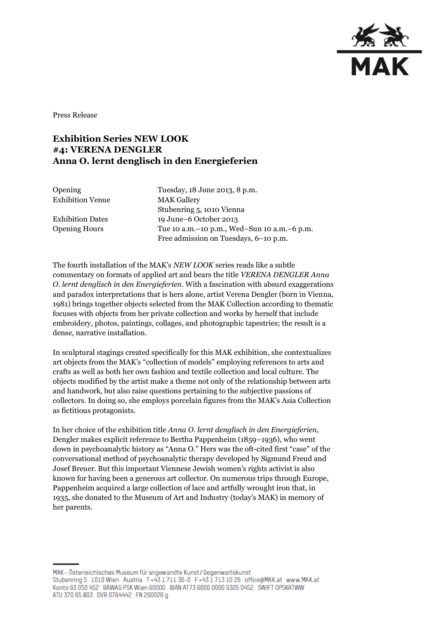

Press Release

## **Exhibition Series NEW LOOK #4: VERENA DENGLER Anna O. lernt denglisch in den Energieferien**

Exhibition Venue MAK Gallery

Opening Tuesday, 18 June 2013, 8 p.m. Stubenring 5, 1010 Vienna Exhibition Dates 19 June–6 October 2013 Opening Hours Tue 10 a.m.–10 p.m., Wed–Sun 10 a.m.–6 p.m. Free admission on Tuesdays, 6–10 p.m.

The fourth installation of the MAK's *NEW LOOK* series reads like a subtle commentary on formats of applied art and bears the title *VERENA DENGLER Anna O. lernt denglisch in den Energieferien.* With a fascination with absurd exaggerations and paradox interpretations that is hers alone, artist Verena Dengler (born in Vienna, 1981) brings together objects selected from the MAK Collection according to thematic focuses with objects from her private collection and works by herself that include embroidery, photos, paintings, collages, and photographic tapestries; the result is a dense, narrative installation.

In sculptural stagings created specifically for this MAK exhibition, she contextualizes art objects from the MAK's "collection of models" employing references to arts and crafts as well as both her own fashion and textile collection and local culture. The objects modified by the artist make a theme not only of the relationship between arts and handwork, but also raise questions pertaining to the subjective passions of collectors. In doing so, she employs porcelain figures from the MAK's Asia Collection as fictitious protagonists.

In her choice of the exhibition title *Anna O. lernt denglisch in den Energieferien,* Dengler makes explicit reference to Bertha Pappenheim (1859–1936), who went down in psychoanalytic history as "Anna O." Hers was the oft-cited first "case" of the conversational method of psychoanalytic therapy developed by Sigmund Freud and Josef Breuer. But this important Viennese Jewish women's rights activist is also known for having been a generous art collector. On numerous trips through Europe, Pappenheim acquired a large collection of lace and artfully wrought iron that, in 1935, she donated to the Museum of Art and Industry (today's MAK) in memory of her parents.

MAK – Österreichisches Museum für angewandte Kunst/Gegenwartskunst Stubenring 5 1010 Wien Austria T+43 1711 36-0 F+43 1713 10 26 office@MAK.at www.MAK.at Konto 93 050 452 BAWAG PSK Wien 60000 IBAN AT73 6000 0000 9305 0452 SWIFT OPSKATWW ATU 370 65 803 DVR 0764442 FN 200026 g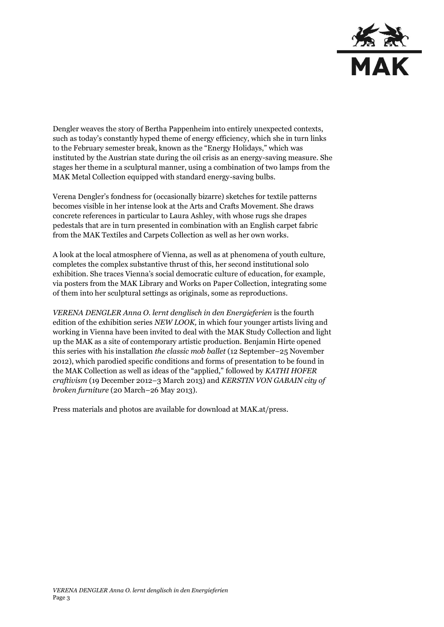

Dengler weaves the story of Bertha Pappenheim into entirely unexpected contexts, such as today's constantly hyped theme of energy efficiency, which she in turn links to the February semester break, known as the "Energy Holidays," which was instituted by the Austrian state during the oil crisis as an energy-saving measure. She stages her theme in a sculptural manner, using a combination of two lamps from the MAK Metal Collection equipped with standard energy-saving bulbs.

Verena Dengler's fondness for (occasionally bizarre) sketches for textile patterns becomes visible in her intense look at the Arts and Crafts Movement. She draws concrete references in particular to Laura Ashley, with whose rugs she drapes pedestals that are in turn presented in combination with an English carpet fabric from the MAK Textiles and Carpets Collection as well as her own works.

A look at the local atmosphere of Vienna, as well as at phenomena of youth culture, completes the complex substantive thrust of this, her second institutional solo exhibition. She traces Vienna's social democratic culture of education, for example, via posters from the MAK Library and Works on Paper Collection, integrating some of them into her sculptural settings as originals, some as reproductions.

*VERENA DENGLER Anna O. lernt denglisch in den Energieferien* is the fourth edition of the exhibition series *NEW LOOK,* in which four younger artists living and working in Vienna have been invited to deal with the MAK Study Collection and light up the MAK as a site of contemporary artistic production. Benjamin Hirte opened this series with his installation *the classic mob ballet* (12 September–25 November 2012), which parodied specific conditions and forms of presentation to be found in the MAK Collection as well as ideas of the "applied," followed by *KATHI HOFER craftivism* (19 December 2012–3 March 2013) and *KERSTIN VON GABAIN city of broken furniture* (20 March–26 May 2013).

Press materials and photos are available for download at MAK.at/press.